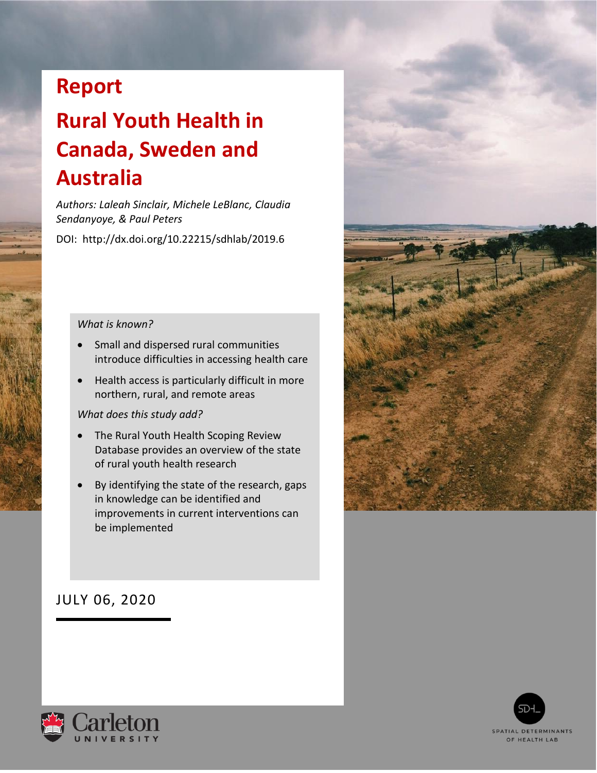## **Report**

# **Rural Youth Health in Canada, Sweden and Australia**

*Authors: Laleah Sinclair, Michele LeBlanc, Claudia Sendanyoye, & Paul Peters*

DOI: http://dx.doi.org/10.22215/sdhlab/2019.6

#### *What is known?*

- Small and dispersed rural communities introduce difficulties in accessing health care
- Health access is particularly difficult in more northern, rural, and remote areas

#### *What does this study add?*

- The Rural Youth Health Scoping Review Database provides an overview of the state of rural youth health research
- By identifying the state of the research, gaps in knowledge can be identified and improvements in current interventions can be implemented



#### JULY 06, 2020



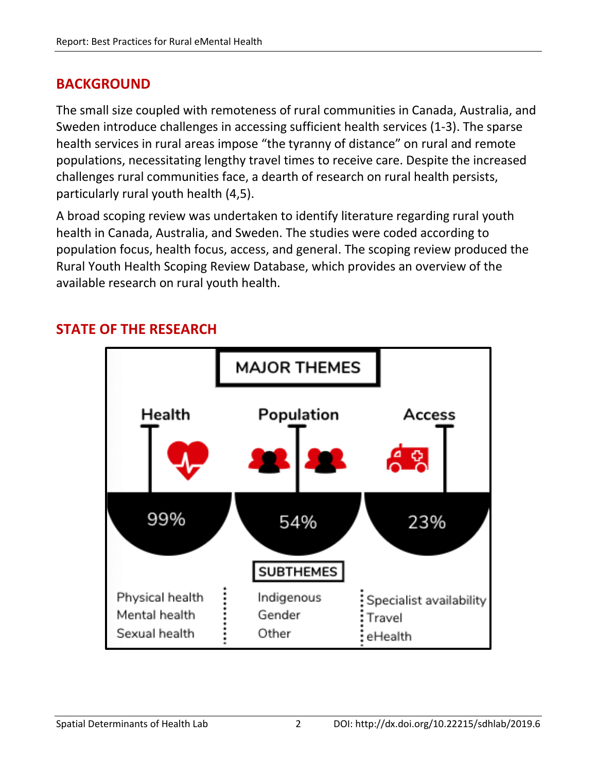#### **BACKGROUND**

The small size coupled with remoteness of rural communities in Canada, Australia, and Sweden introduce challenges in accessing sufficient health services (1-3). The sparse health services in rural areas impose "the tyranny of distance" on rural and remote populations, necessitating lengthy travel times to receive care. Despite the increased challenges rural communities face, a dearth of research on rural health persists, particularly rural youth health (4,5).

A broad scoping review was undertaken to identify literature regarding rural youth health in Canada, Australia, and Sweden. The studies were coded according to population focus, health focus, access, and general. The scoping review produced the Rural Youth Health Scoping Review Database, which provides an overview of the available research on rural youth health.



### **STATE OF THE RESEARCH**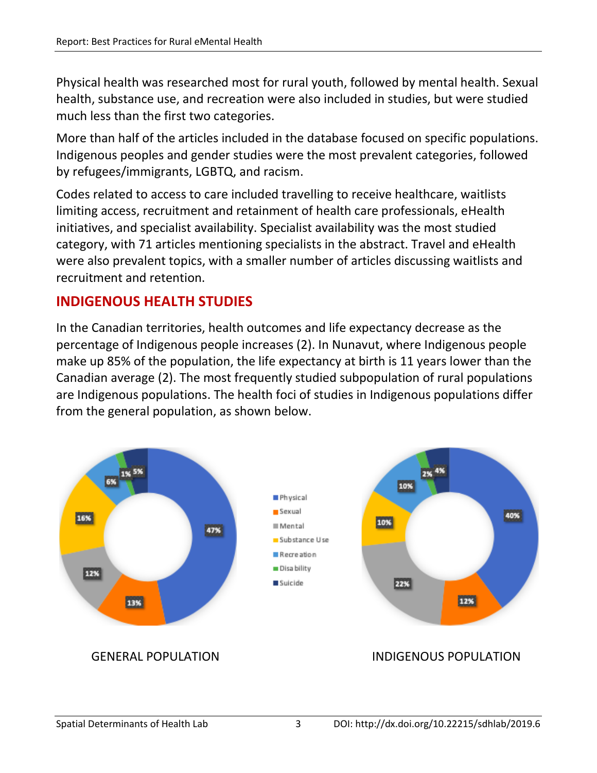Physical health was researched most for rural youth, followed by mental health. Sexual health, substance use, and recreation were also included in studies, but were studied much less than the first two categories.

More than half of the articles included in the database focused on specific populations. Indigenous peoples and gender studies were the most prevalent categories, followed by refugees/immigrants, LGBTQ, and racism.

Codes related to access to care included travelling to receive healthcare, waitlists limiting access, recruitment and retainment of health care professionals, eHealth initiatives, and specialist availability. Specialist availability was the most studied category, with 71 articles mentioning specialists in the abstract. Travel and eHealth were also prevalent topics, with a smaller number of articles discussing waitlists and recruitment and retention.

## **INDIGENOUS HEALTH STUDIES**

In the Canadian territories, health outcomes and life expectancy decrease as the percentage of Indigenous people increases (2). In Nunavut, where Indigenous people make up 85% of the population, the life expectancy at birth is 11 years lower than the Canadian average (2). The most frequently studied subpopulation of rural populations are Indigenous populations. The health foci of studies in Indigenous populations differ from the general population, as shown below.

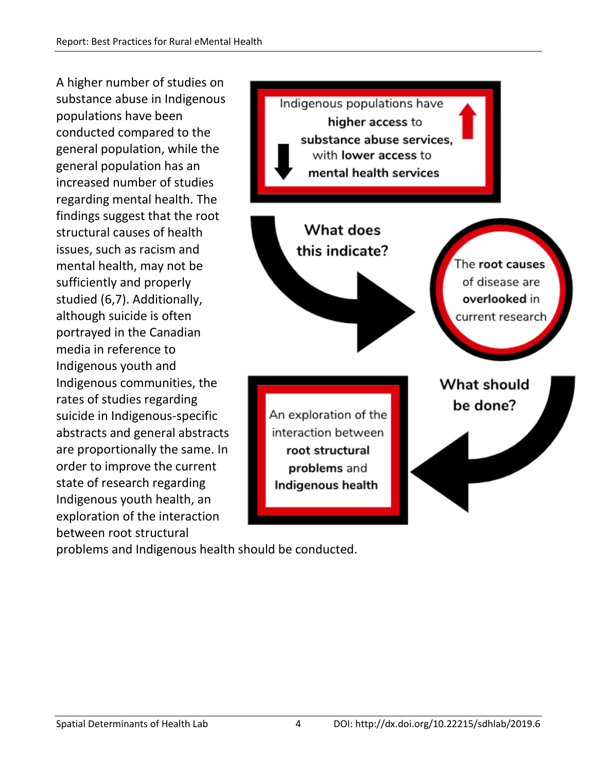A higher number of studies on substance abuse in Indigenous populations have been conducted compared to the general population, while the general population has an increased number of studies regarding mental health. The findings suggest that the root structural causes of health issues, such as racism and mental health, may not be sufficiently and properly studied (6,7). Additionally, although suicide is often portrayed in the Canadian media in reference to Indigenous youth and Indigenous communities, the rates of studies regarding suicide in Indigenous-specific abstracts and general abstracts are proportionally the same. In order to improve the current state of research regarding Indigenous youth health, an exploration of the interaction between root structural



problems and Indigenous health should be conducted.